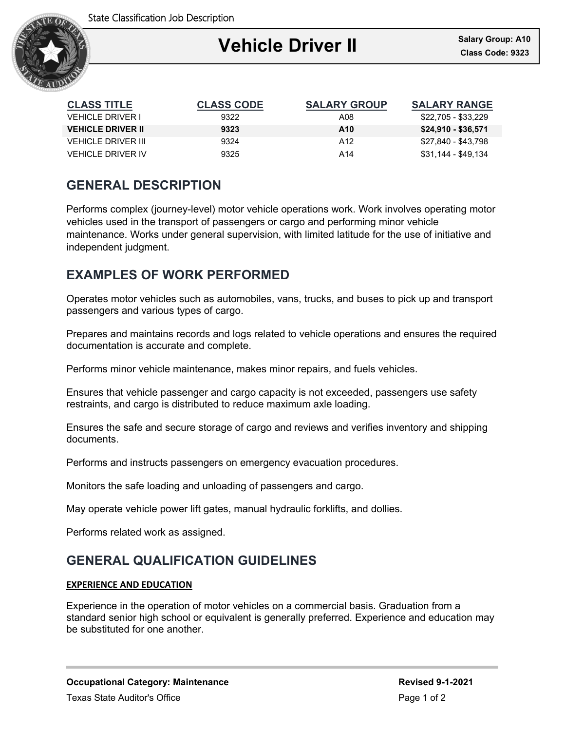

| <b>CLASS TITLE</b>        | <b>CLASS CODE</b> | <b>SALARY GROUP</b> | <b>SALARY RANGE</b> |
|---------------------------|-------------------|---------------------|---------------------|
| VEHICI E DRIVER I         | 9322              | A08                 | \$22,705 - \$33,229 |
| <b>VEHICLE DRIVER II</b>  | 9323              | A <sub>10</sub>     | \$24,910 - \$36,571 |
| <b>VEHICLE DRIVER III</b> | 9324              | A12                 | \$27,840 - \$43,798 |
| <b>VEHICLE DRIVER IV</b>  | 9325              | A14                 | \$31,144 - \$49,134 |

### **GENERAL DESCRIPTION**

Performs complex (journey-level) motor vehicle operations work. Work involves operating motor vehicles used in the transport of passengers or cargo and performing minor vehicle maintenance. Works under general supervision, with limited latitude for the use of initiative and independent judgment.

# **EXAMPLES OF WORK PERFORMED**

Operates motor vehicles such as automobiles, vans, trucks, and buses to pick up and transport passengers and various types of cargo.

Prepares and maintains records and logs related to vehicle operations and ensures the required documentation is accurate and complete.

Performs minor vehicle maintenance, makes minor repairs, and fuels vehicles.

Ensures that vehicle passenger and cargo capacity is not exceeded, passengers use safety restraints, and cargo is distributed to reduce maximum axle loading.

Ensures the safe and secure storage of cargo and reviews and verifies inventory and shipping documents.

Performs and instructs passengers on emergency evacuation procedures.

Monitors the safe loading and unloading of passengers and cargo.

May operate vehicle power lift gates, manual hydraulic forklifts, and dollies.

Performs related work as assigned.

## **GENERAL QUALIFICATION GUIDELINES**

#### **EXPERIENCE AND EDUCATION**

Experience in the operation of motor vehicles on a commercial basis. Graduation from a standard senior high school or equivalent is generally preferred. Experience and education may be substituted for one another.